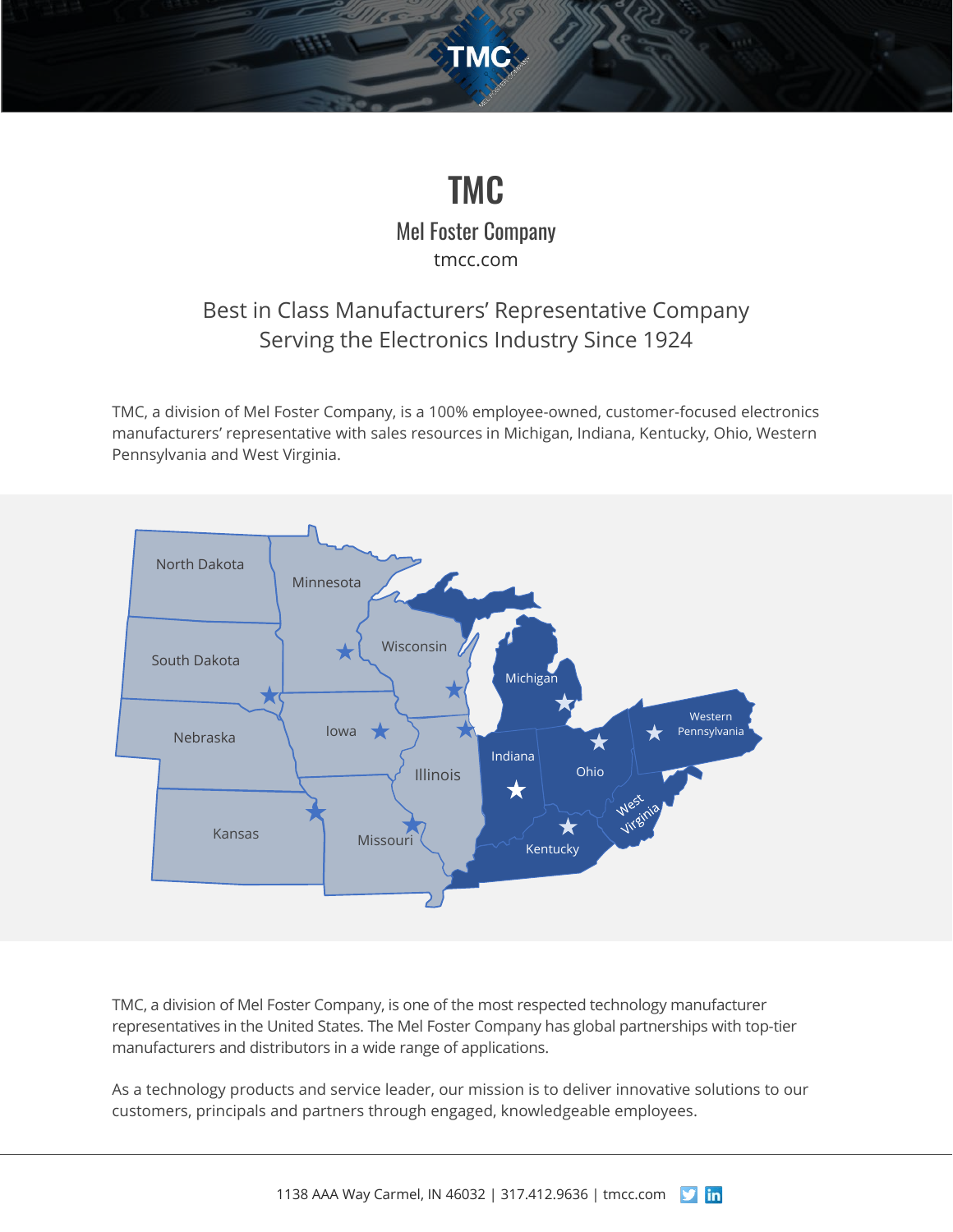# TMC

**TMC** 

Mel Foster Company [tmcc.com](http://www.tmcc.com/)

### Best in Class Manufacturers' Representative Company Serving the Electronics Industry Since 1924

TMC, a division of Mel Foster Company, is a 100% employee-owned, customer-focused electronics manufacturers' representative with sales resources in Michigan, Indiana, Kentucky, Ohio, Western Pennsylvania and West Virginia.



TMC, a division of Mel Foster Company, is one of the most respected technology manufacturer representatives in the United States. The Mel Foster Company has global partnerships with top-tier manufacturers and distributors in a wide range of applications.

As a technology products and service leader, our mission is to deliver innovative solutions to our customers, principals and partners through engaged, knowledgeable employees.

1138 AAA Way Carmel, IN 46032 | 317.412.9636 [| tmcc.com](http://www.tmcc.com/)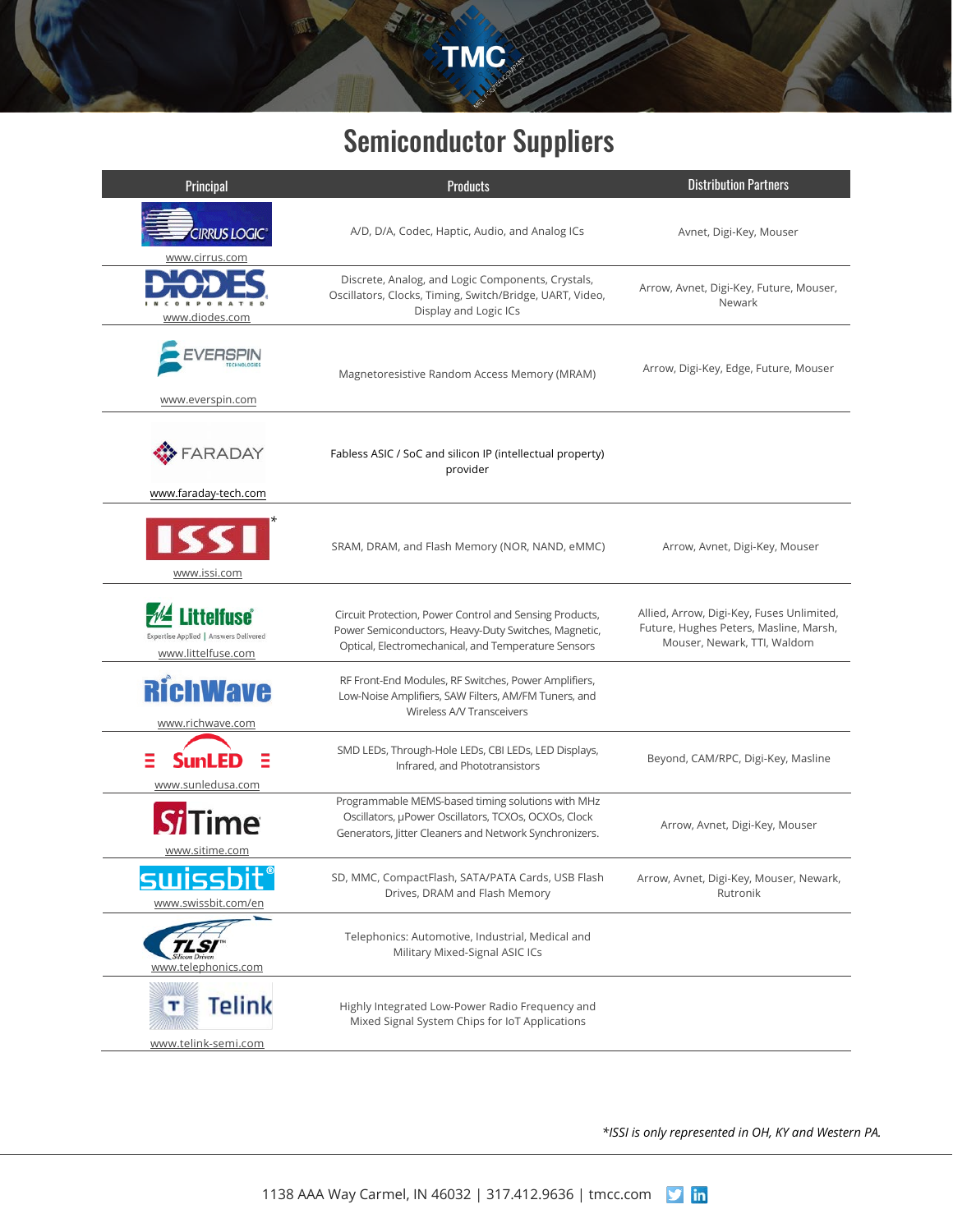

## Semiconductor Suppliers

| Principal                                                                        | <b>Products</b>                                                                                                                                                        | <b>Distribution Partners</b>                                                                                       |
|----------------------------------------------------------------------------------|------------------------------------------------------------------------------------------------------------------------------------------------------------------------|--------------------------------------------------------------------------------------------------------------------|
| <b>CIRRUS LOGIC®</b><br>www.cirrus.com                                           | A/D, D/A, Codec, Haptic, Audio, and Analog ICs                                                                                                                         | Avnet, Digi-Key, Mouser                                                                                            |
| www.diodes.com                                                                   | Discrete, Analog, and Logic Components, Crystals,<br>Oscillators, Clocks, Timing, Switch/Bridge, UART, Video,<br>Display and Logic ICs                                 | Arrow, Avnet, Digi-Key, Future, Mouser,<br>Newark                                                                  |
| www.everspin.com                                                                 | Magnetoresistive Random Access Memory (MRAM)                                                                                                                           | Arrow, Digi-Key, Edge, Future, Mouser                                                                              |
| <b>FARADAY</b><br>www.faraday-tech.com                                           | Fabless ASIC / SoC and silicon IP (intellectual property)<br>provider                                                                                                  |                                                                                                                    |
| <b>ISSI</b><br>www.issi.com                                                      | SRAM, DRAM, and Flash Memory (NOR, NAND, eMMC)                                                                                                                         | Arrow, Avnet, Digi-Key, Mouser                                                                                     |
| <b>Littelfuse</b><br>Expertise Applied   Answers Delivered<br>www.littelfuse.com | Circuit Protection, Power Control and Sensing Products,<br>Power Semiconductors, Heavy-Duty Switches, Magnetic,<br>Optical, Electromechanical, and Temperature Sensors | Allied, Arrow, Digi-Key, Fuses Unlimited,<br>Future, Hughes Peters, Masline, Marsh,<br>Mouser, Newark, TTI, Waldom |
| <b>RichWave</b><br>www.richwave.com                                              | RF Front-End Modules, RF Switches, Power Amplifiers,<br>Low-Noise Amplifiers, SAW Filters, AM/FM Tuners, and<br>Wireless A/V Transceivers                              |                                                                                                                    |
| www.sunledusa.com                                                                | SMD LEDs, Through-Hole LEDs, CBI LEDs, LED Displays,<br>Infrared, and Phototransistors                                                                                 | Beyond, CAM/RPC, Digi-Key, Masline                                                                                 |
| www.sitime.com                                                                   | Programmable MEMS-based timing solutions with MHz<br>Oscillators, µPower Oscillators, TCXOs, OCXOs, Clock<br>Generators, Jitter Cleaners and Network Synchronizers.    | Arrow, Avnet, Digi-Key, Mouser                                                                                     |
| swissbit°<br>www.swissbit.com/en                                                 | SD, MMC, CompactFlash, SATA/PATA Cards, USB Flash<br>Drives, DRAM and Flash Memory                                                                                     | Arrow, Avnet, Digi-Key, Mouser, Newark,<br>Rutronik                                                                |
| 'LSI<br>www.telephonics.com                                                      | Telephonics: Automotive, Industrial, Medical and<br>Military Mixed-Signal ASIC ICs                                                                                     |                                                                                                                    |
| Telink<br>т<br>www.telink-semi.com                                               | Highly Integrated Low-Power Radio Frequency and<br>Mixed Signal System Chips for IoT Applications                                                                      |                                                                                                                    |

*\*ISSI is only represented in OH, KY and Western PA.*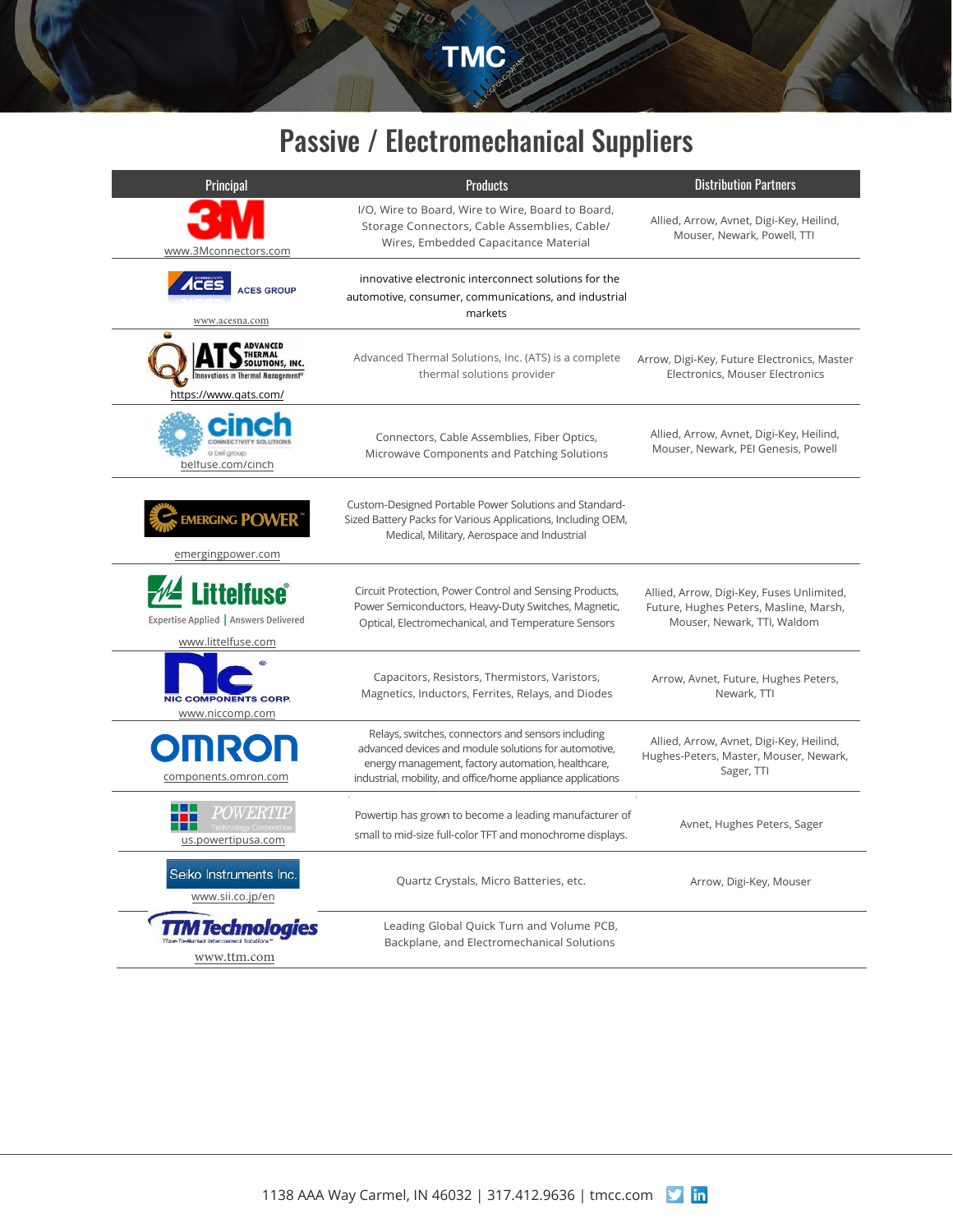TMC

## Passive / Electromechanical Suppliers

| Principal                                                                                                    | <b>Products</b>                                                                                                                                                                                                                   | <b>Distribution Partners</b>                                                                                       |
|--------------------------------------------------------------------------------------------------------------|-----------------------------------------------------------------------------------------------------------------------------------------------------------------------------------------------------------------------------------|--------------------------------------------------------------------------------------------------------------------|
| www.3Mconnectors.com                                                                                         | I/O, Wire to Board, Wire to Wire, Board to Board,<br>Storage Connectors, Cable Assemblies, Cable/<br>Wires, Embedded Capacitance Material                                                                                         | Allied, Arrow, Avnet, Digi-Key, Heilind,<br>Mouser, Newark, Powell, TTI                                            |
| <b>ACES GROUP</b>                                                                                            | innovative electronic interconnect solutions for the<br>automotive, consumer, communications, and industrial<br>markets                                                                                                           |                                                                                                                    |
| www.acesna.com                                                                                               |                                                                                                                                                                                                                                   |                                                                                                                    |
| <b>ADVANCED</b><br>THERMAL<br>SOLUTIONS, INC.<br>Innovations in Thermal Management®<br>https://www.qats.com/ | Advanced Thermal Solutions, Inc. (ATS) is a complete<br>thermal solutions provider                                                                                                                                                | Arrow, Digi-Key, Future Electronics, Master<br>Electronics, Mouser Electronics                                     |
|                                                                                                              |                                                                                                                                                                                                                                   |                                                                                                                    |
| CONNECTIVITY SOLUTI<br>a bel group<br>belfuse.com/cinch                                                      | Connectors, Cable Assemblies, Fiber Optics,<br>Microwave Components and Patching Solutions                                                                                                                                        | Allied, Arrow, Avnet, Digi-Key, Heilind,<br>Mouser, Newark, PEI Genesis, Powell                                    |
| <b>EMERGING POWER</b><br>emergingpower.com                                                                   | Custom-Designed Portable Power Solutions and Standard-<br>Sized Battery Packs for Various Applications, Including OEM,<br>Medical, Military, Aerospace and Industrial                                                             |                                                                                                                    |
|                                                                                                              |                                                                                                                                                                                                                                   |                                                                                                                    |
| <b>Littelfuse</b> ®<br>Expertise Applied   Answers Delivered<br>www.littelfuse.com                           | Circuit Protection, Power Control and Sensing Products,<br>Power Semiconductors, Heavy-Duty Switches, Magnetic,<br>Optical, Electromechanical, and Temperature Sensors                                                            | Allied, Arrow, Digi-Key, Fuses Unlimited,<br>Future, Hughes Peters, Masline, Marsh,<br>Mouser, Newark, TTI, Waldom |
| <b>NIC COMPONENTS CORP.</b><br>www.niccomp.com                                                               | Capacitors, Resistors, Thermistors, Varistors,<br>Magnetics, Inductors, Ferrites, Relays, and Diodes                                                                                                                              | Arrow, Avnet, Future, Hughes Peters,<br>Newark, TTI                                                                |
| <b>OMROF</b><br>components.omron.com                                                                         | Relays, switches, connectors and sensors including<br>advanced devices and module solutions for automotive,<br>energy management, factory automation, healthcare,<br>industrial, mobility, and office/home appliance applications | Allied, Arrow, Avnet, Digi-Key, Heilind,<br>Hughes-Peters, Master, Mouser, Newark,<br>Sager, TTI                   |
| <i>POWERTII</i><br>us.powertipusa.com                                                                        | Powertip has grown to become a leading manufacturer of<br>small to mid-size full-color TFT and monochrome displays.                                                                                                               | Avnet, Hughes Peters, Sager                                                                                        |
| Seiko Instruments Inc.<br>www.sii.co.jp/en                                                                   | Quartz Crystals, Micro Batteries, etc.                                                                                                                                                                                            | Arrow, Digi-Key, Mouser                                                                                            |
| <i><b>A Technologies</b></i><br>Time-To-Market Interconnect Solutions'<br>www.ttm.com                        | Leading Global Quick Turn and Volume PCB,<br>Backplane, and Electromechanical Solutions                                                                                                                                           |                                                                                                                    |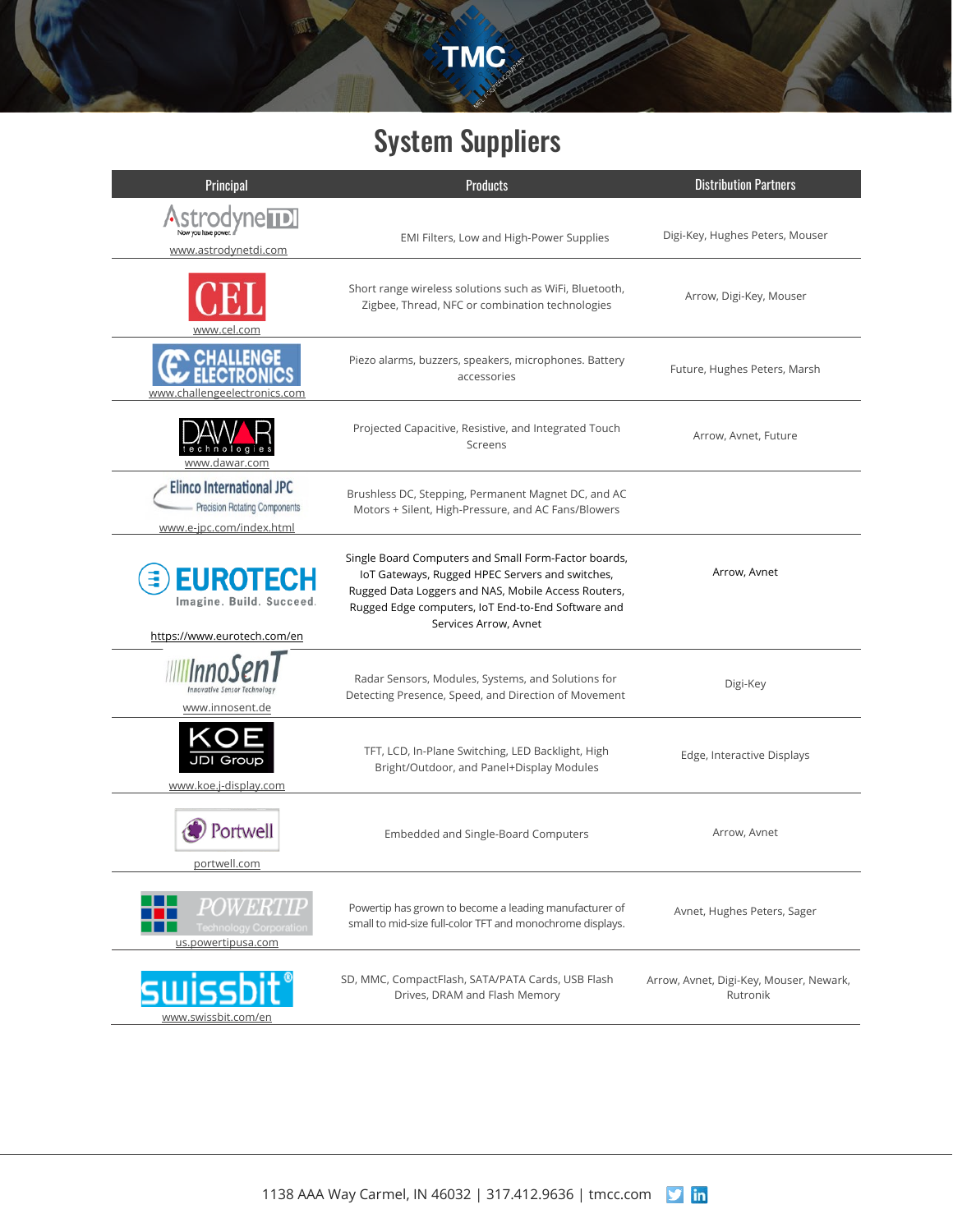# System Suppliers

TMC

| Principal                                                                                           | <b>Products</b>                                                                                                                                                                                                                               | <b>Distribution Partners</b>                        |
|-----------------------------------------------------------------------------------------------------|-----------------------------------------------------------------------------------------------------------------------------------------------------------------------------------------------------------------------------------------------|-----------------------------------------------------|
| <b>odyne TDI</b><br>www.astrodynetdi.com                                                            | EMI Filters, Low and High-Power Supplies                                                                                                                                                                                                      | Digi-Key, Hughes Peters, Mouser                     |
| www.cel.com                                                                                         | Short range wireless solutions such as WiFi, Bluetooth,<br>Zigbee, Thread, NFC or combination technologies                                                                                                                                    | Arrow, Digi-Key, Mouser                             |
| <b>ALLENGE</b><br>www.challengeelectronics.com                                                      | Piezo alarms, buzzers, speakers, microphones. Battery<br>accessories                                                                                                                                                                          | Future, Hughes Peters, Marsh                        |
| $n$ $o$ $l$ $o$ $c$<br>www.dawar.com                                                                | Projected Capacitive, Resistive, and Integrated Touch<br>Screens                                                                                                                                                                              | Arrow, Avnet, Future                                |
| <b>Elinco International JPC</b><br><b>Precision Rotating Components</b><br>www.e-jpc.com/index.html | Brushless DC, Stepping, Permanent Magnet DC, and AC<br>Motors + Silent, High-Pressure, and AC Fans/Blowers                                                                                                                                    |                                                     |
| <b>EUROTECH</b><br>Imagine, Build, Succeed.<br>https://www.eurotech.com/en                          | Single Board Computers and Small Form-Factor boards,<br>IoT Gateways, Rugged HPEC Servers and switches,<br>Rugged Data Loggers and NAS, Mobile Access Routers,<br>Rugged Edge computers, IoT End-to-End Software and<br>Services Arrow, Avnet | Arrow, Avnet                                        |
| <b>Innovative Sensor Technolog</b><br>www.innosent.de                                               | Radar Sensors, Modules, Systems, and Solutions for<br>Detecting Presence, Speed, and Direction of Movement                                                                                                                                    | Digi-Key                                            |
| www.koe.j-display.com                                                                               | TFT, LCD, In-Plane Switching, LED Backlight, High<br>Bright/Outdoor, and Panel+Display Modules                                                                                                                                                | Edge, Interactive Displays                          |
| Portwell<br>portwell.com                                                                            | Embedded and Single-Board Computers                                                                                                                                                                                                           | Arrow, Avnet                                        |
| <i>POWERTIP</i><br><b>Technology Corporation</b><br>us.powertipusa.com                              | Powertip has grown to become a leading manufacturer of<br>small to mid-size full-color TFT and monochrome displays.                                                                                                                           | Avnet, Hughes Peters, Sager                         |
| SWISSDI<br>www.swissbit.com/en                                                                      | SD, MMC, CompactFlash, SATA/PATA Cards, USB Flash<br>Drives, DRAM and Flash Memory                                                                                                                                                            | Arrow, Avnet, Digi-Key, Mouser, Newark,<br>Rutronik |